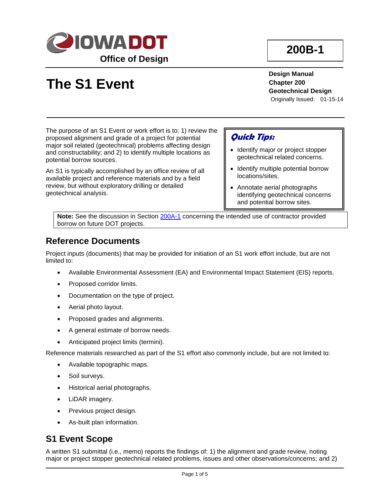

# **200B-1**

# **The S1 Event**

**Design Manual Chapter 200 Geotechnical Design** Originally Issued: 01-15-14

The purpose of an S1 Event or work effort is to: 1) review the proposed alignment and grade of a project for potential major soil related (geotechnical) problems affecting design and constructability; and 2) to identify multiple locations as potential borrow sources.

An S1 is typically accomplished by an office review of all available project and reference materials and by a field review, but without exploratory drilling or detailed geotechnical analysis.

### **Quick Tips:**

- Identify major or project stopper geotechnical related concerns.
- Identify multiple potential borrow locations/sites.
- Annotate aerial photographs identifying geotechnical concerns and potential borrow sites.

**Note:** See the discussion in Section 200A-1 concerning the intended use of contractor provided borrow on future DOT projects.

### **Reference Documents**

Project inputs (documents) that may be provided for initiation of an S1 work effort include, but are not limited to:

- Available Environmental Assessment (EA) and Environmental Impact Statement (EIS) reports.
- Proposed corridor limits.
- Documentation on the type of project.
- Aerial photo layout.
- Proposed grades and alignments.
- A general estimate of borrow needs.
- Anticipated project limits (termini).

Reference materials researched as part of the S1 effort also commonly include, but are not limited to:

- Available topographic maps.
- Soil surveys.
- Historical aerial photographs.
- LiDAR imagery.
- Previous project design.
- As-built plan information.

### **S1 Event Scope**

A written S1 submittal (i.e., memo) reports the findings of: 1) the alignment and grade review, noting major or project stopper geotechnical related problems, issues and other observations/concerns; and 2)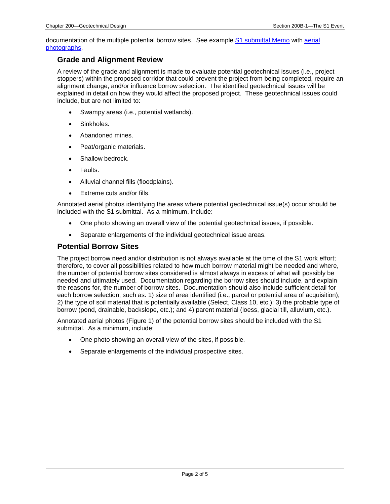documentation of the multiple potential borrow sites. See example S1 submittal Memo with aerial photographs.

#### **Grade and Alignment Review**

A review of the grade and alignment is made to evaluate potential geotechnical issues (i.e., project stoppers) within the proposed corridor that could prevent the project from being completed, require an alignment change, and/or influence borrow selection. The identified geotechnical issues will be explained in detail on how they would affect the proposed project. These geotechnical issues could include, but are not limited to:

- Swampy areas (i.e., potential wetlands).
- Sinkholes.
- Abandoned mines.
- Peat/organic materials.
- Shallow bedrock.
- Faults.
- Alluvial channel fills (floodplains).
- Extreme cuts and/or fills.

Annotated aerial photos identifying the areas where potential geotechnical issue(s) occur should be included with the S1 submittal. As a minimum, include:

- One photo showing an overall view of the potential geotechnical issues, if possible.
- Separate enlargements of the individual geotechnical issue areas.

#### **Potential Borrow Sites**

The project borrow need and/or distribution is not always available at the time of the S1 work effort; therefore, to cover all possibilities related to how much borrow material might be needed and where, the number of potential borrow sites considered is almost always in excess of what will possibly be needed and ultimately used. Documentation regarding the borrow sites should include, and explain the reasons for, the number of borrow sites. Documentation should also include sufficient detail for each borrow selection, such as: 1) size of area identified (i.e., parcel or potential area of acquisition); 2) the type of soil material that is potentially available (Select, Class 10, etc.); 3) the probable type of borrow (pond, drainable, backslope, etc.); and 4) parent material (loess, glacial till, alluvium, etc.).

Annotated aerial photos (Figure 1) of the potential borrow sites should be included with the S1 submittal. As a minimum, include:

- One photo showing an overall view of the sites, if possible.
- Separate enlargements of the individual prospective sites.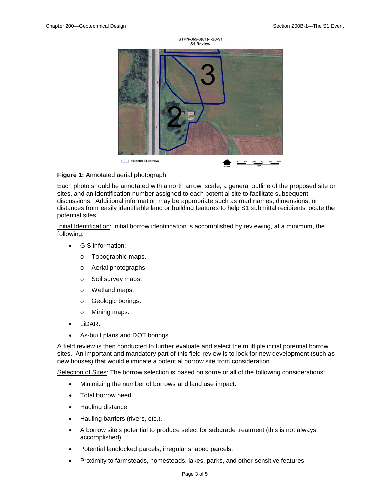

#### **Figure 1:** Annotated aerial photograph.

Each photo should be annotated with a north arrow, scale, a general outline of the proposed site or sites, and an identification number assigned to each potential site to facilitate subsequent discussions. Additional information may be appropriate such as road names, dimensions, or distances from easily identifiable land or building features to help S1 submittal recipients locate the potential sites.

Initial Identification: Initial borrow identification is accomplished by reviewing, at a minimum, the following:

- GIS information:
	- o Topographic maps.
	- o Aerial photographs.
	- o Soil survey maps.
	- o Wetland maps.
	- o Geologic borings.
	- o Mining maps.
- LiDAR.
- As-built plans and DOT borings.

A field review is then conducted to further evaluate and select the multiple initial potential borrow sites. An important and mandatory part of this field review is to look for new development (such as new houses) that would eliminate a potential borrow site from consideration.

Selection of Sites: The borrow selection is based on some or all of the following considerations:

- Minimizing the number of borrows and land use impact.
- Total borrow need.
- Hauling distance.
- Hauling barriers (rivers, etc.).
- A borrow site's potential to produce select for subgrade treatment (this is not always accomplished).
- Potential landlocked parcels, irregular shaped parcels.
- Proximity to farmsteads, homesteads, lakes, parks, and other sensitive features.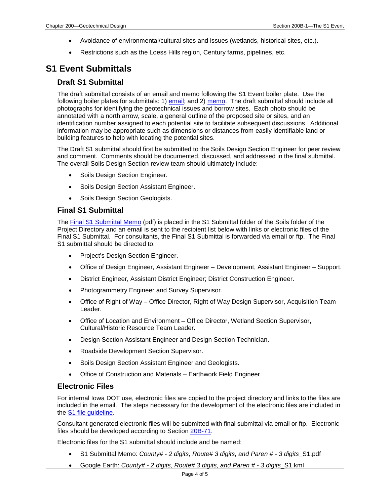- Avoidance of environmental/cultural sites and issues (wetlands, historical sites, etc.).
- Restrictions such as the Loess Hills region, Century farms, pipelines, etc.

### **S1 Event Submittals**

#### **Draft S1 Submittal**

The draft submittal consists of an email and memo following the S1 Event boiler plate. Use the following boiler plates for submittals: 1) **email**; and 2) memo. The draft submittal should include all photographs for identifying the geotechnical issues and borrow sites. Each photo should be annotated with a north arrow, scale, a general outline of the proposed site or sites, and an identification number assigned to each potential site to facilitate subsequent discussions. Additional information may be appropriate such as dimensions or distances from easily identifiable land or building features to help with locating the potential sites.

The Draft S1 submittal should first be submitted to the Soils Design Section Engineer for peer review and comment. Comments should be documented, discussed, and addressed in the final submittal. The overall Soils Design Section review team should ultimately include:

- Soils Design Section Engineer.
- Soils Design Section Assistant Engineer.
- Soils Design Section Geologists.

#### **Final S1 Submittal**

The Final S1 Submittal Memo (pdf) is placed in the S1 Submittal folder of the Soils folder of the Project Directory and an email is sent to the recipient list below with links or electronic files of the Final S1 Submittal. For consultants, the Final S1 Submittal is forwarded via email or ftp. The Final S1 submittal should be directed to:

- Project's Design Section Engineer.
- Office of Design Engineer, Assistant Engineer Development, Assistant Engineer Support.
- District Engineer, Assistant District Engineer; District Construction Engineer.
- Photogrammetry Engineer and Survey Supervisor.
- Office of Right of Way Office Director, Right of Way Design Supervisor, Acquisition Team Leader.
- Office of Location and Environment Office Director, Wetland Section Supervisor, Cultural/Historic Resource Team Leader.
- Design Section Assistant Engineer and Design Section Technician.
- Roadside Development Section Supervisor.
- Soils Design Section Assistant Engineer and Geologists.
- Office of Construction and Materials Earthwork Field Engineer.

#### **Electronic Files**

For internal Iowa DOT use, electronic files are copied to the project directory and links to the files are included in the email. The steps necessary for the development of the electronic files are included in the S1 file guideline.

Consultant generated electronic files will be submitted with final submittal via email or ftp. Electronic files should be developed according to Section 20B-71.

Electronic files for the S1 submittal should include and be named:

- S1 Submittal Memo: *County# - 2 digits, Route# 3 digits, and Paren # - 3 digits*\_S1.pdf
- Google Earth: *County# - 2 digits, Route# 3 digits, and Paren # - 3 digits*\_S1.kml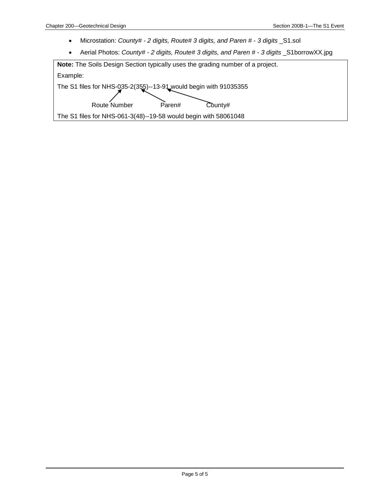- Microstation: *County# - 2 digits, Route# 3 digits, and Paren # - 3 digits* \_S1.sol
- Aerial Photos: *County# - 2 digits, Route# 3 digits, and Paren # - 3 digits* \_S1borrowXX.jpg

| <b>Note:</b> The Soils Design Section typically uses the grading number of a project.                            |
|------------------------------------------------------------------------------------------------------------------|
| Example:                                                                                                         |
| The S1 files for NHS-035-2(355)--13-91 would begin with 91035355<br>Route Number<br>$\text{Country}$ #<br>Paren# |
| The S1 files for NHS-061-3(48)--19-58 would begin with 58061048                                                  |
|                                                                                                                  |